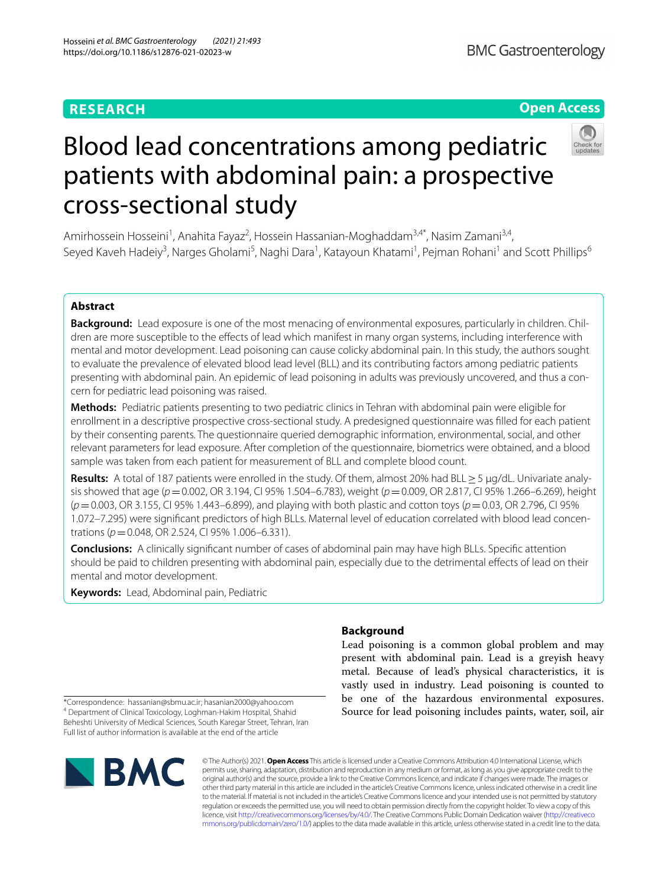# **RESEARCH**

# **Open Access**



# Blood lead concentrations among pediatric patients with abdominal pain: a prospective cross-sectional study

Amirhossein Hosseini<sup>1</sup>, Anahita Fayaz<sup>2</sup>, Hossein Hassanian-Moghaddam<sup>3,4\*</sup>, Nasim Zamani<sup>3,4</sup>, Seyed Kaveh Hadeiy<sup>3</sup>, Narges Gholami<sup>5</sup>, Naghi Dara<sup>1</sup>, Katayoun Khatami<sup>1</sup>, Pejman Rohani<sup>1</sup> and Scott Phillips<sup>6</sup>

# **Abstract**

Background: Lead exposure is one of the most menacing of environmental exposures, particularly in children. Children are more susceptible to the effects of lead which manifest in many organ systems, including interference with mental and motor development. Lead poisoning can cause colicky abdominal pain. In this study, the authors sought to evaluate the prevalence of elevated blood lead level (BLL) and its contributing factors among pediatric patients presenting with abdominal pain. An epidemic of lead poisoning in adults was previously uncovered, and thus a concern for pediatric lead poisoning was raised.

**Methods:** Pediatric patients presenting to two pediatric clinics in Tehran with abdominal pain were eligible for enrollment in a descriptive prospective cross-sectional study. A predesigned questionnaire was flled for each patient by their consenting parents. The questionnaire queried demographic information, environmental, social, and other relevant parameters for lead exposure. After completion of the questionnaire, biometrics were obtained, and a blood sample was taken from each patient for measurement of BLL and complete blood count.

**Results:** A total of 187 patients were enrolled in the study. Of them, almost 20% had BLL≥5 µg/dL. Univariate analy‑ sis showed that age (*p*=0.002, OR 3.194, CI 95% 1.504–6.783), weight (*p*=0.009, OR 2.817, CI 95% 1.266–6.269), height (*p*=0.003, OR 3.155, CI 95% 1.443–6.899), and playing with both plastic and cotton toys (*p*=0.03, OR 2.796, CI 95% 1.072–7.295) were significant predictors of high BLLs. Maternal level of education correlated with blood lead concentrations (*p*=0.048, OR 2.524, CI 95% 1.006–6.331).

**Conclusions:** A clinically signifcant number of cases of abdominal pain may have high BLLs. Specifc attention should be paid to children presenting with abdominal pain, especially due to the detrimental efects of lead on their mental and motor development.

**Keywords:** Lead, Abdominal pain, Pediatric

# **Background**

Lead poisoning is a common global problem and may present with abdominal pain. Lead is a greyish heavy metal. Because of lead's physical characteristics, it is vastly used in industry. Lead poisoning is counted to be one of the hazardous environmental exposures. Source for lead poisoning includes paints, water, soil, air

\*Correspondence: hassanian@sbmu.ac.ir; hasanian2000@yahoo.com <sup>4</sup> Department of Clinical Toxicology, Loghman-Hakim Hospital, Shahid Beheshti University of Medical Sciences, South Karegar Street, Tehran, Iran Full list of author information is available at the end of the article



© The Author(s) 2021. **Open Access** This article is licensed under a Creative Commons Attribution 4.0 International License, which permits use, sharing, adaptation, distribution and reproduction in any medium or format, as long as you give appropriate credit to the original author(s) and the source, provide a link to the Creative Commons licence, and indicate if changes were made. The images or other third party material in this article are included in the article's Creative Commons licence, unless indicated otherwise in a credit line to the material. If material is not included in the article's Creative Commons licence and your intended use is not permitted by statutory regulation or exceeds the permitted use, you will need to obtain permission directly from the copyright holder. To view a copy of this licence, visit [http://creativecommons.org/licenses/by/4.0/.](http://creativecommons.org/licenses/by/4.0/) The Creative Commons Public Domain Dedication waiver ([http://creativeco](http://creativecommons.org/publicdomain/zero/1.0/) [mmons.org/publicdomain/zero/1.0/](http://creativecommons.org/publicdomain/zero/1.0/)) applies to the data made available in this article, unless otherwise stated in a credit line to the data.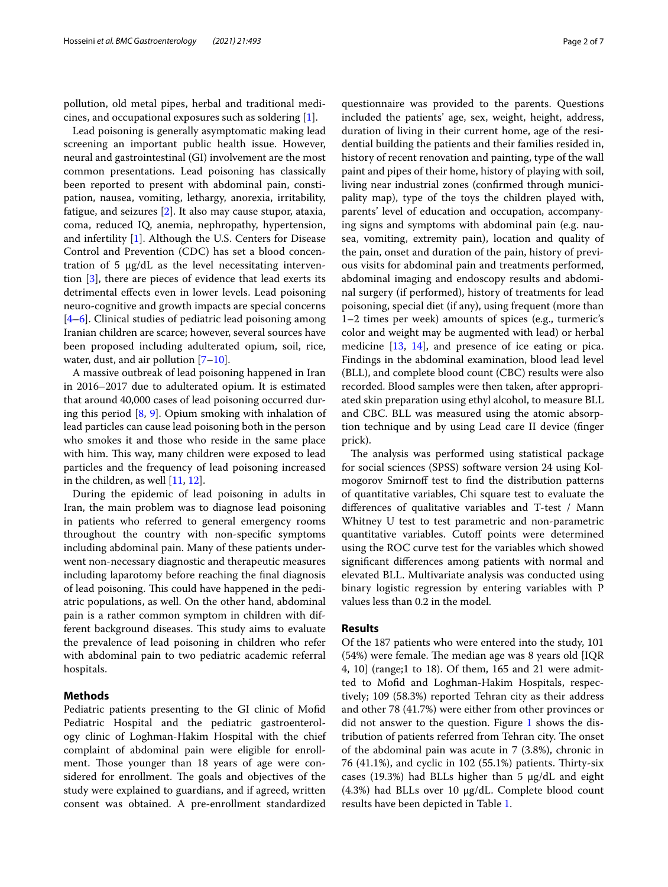pollution, old metal pipes, herbal and traditional medicines, and occupational exposures such as soldering [\[1](#page-6-0)].

Lead poisoning is generally asymptomatic making lead screening an important public health issue. However, neural and gastrointestinal (GI) involvement are the most common presentations. Lead poisoning has classically been reported to present with abdominal pain, constipation, nausea, vomiting, lethargy, anorexia, irritability, fatigue, and seizures [\[2](#page-6-1)]. It also may cause stupor, ataxia, coma, reduced IQ, anemia, nephropathy, hypertension, and infertility [\[1](#page-6-0)]. Although the U.S. Centers for Disease Control and Prevention (CDC) has set a blood concentration of 5  $\mu$ g/dL as the level necessitating intervention [[3\]](#page-6-2), there are pieces of evidence that lead exerts its detrimental effects even in lower levels. Lead poisoning neuro-cognitive and growth impacts are special concerns [[4–](#page-6-3)[6\]](#page-6-4). Clinical studies of pediatric lead poisoning among Iranian children are scarce; however, several sources have been proposed including adulterated opium, soil, rice, water, dust, and air pollution [\[7](#page-6-5)[–10](#page-6-6)].

A massive outbreak of lead poisoning happened in Iran in 2016–2017 due to adulterated opium. It is estimated that around 40,000 cases of lead poisoning occurred during this period [\[8](#page-6-7), [9](#page-6-8)]. Opium smoking with inhalation of lead particles can cause lead poisoning both in the person who smokes it and those who reside in the same place with him. This way, many children were exposed to lead particles and the frequency of lead poisoning increased in the children, as well [\[11](#page-6-9), [12\]](#page-6-10).

During the epidemic of lead poisoning in adults in Iran, the main problem was to diagnose lead poisoning in patients who referred to general emergency rooms throughout the country with non-specifc symptoms including abdominal pain. Many of these patients underwent non-necessary diagnostic and therapeutic measures including laparotomy before reaching the fnal diagnosis of lead poisoning. This could have happened in the pediatric populations, as well. On the other hand, abdominal pain is a rather common symptom in children with different background diseases. This study aims to evaluate the prevalence of lead poisoning in children who refer with abdominal pain to two pediatric academic referral hospitals.

# **Methods**

Pediatric patients presenting to the GI clinic of Mofd Pediatric Hospital and the pediatric gastroenterology clinic of Loghman-Hakim Hospital with the chief complaint of abdominal pain were eligible for enrollment. Those younger than 18 years of age were considered for enrollment. The goals and objectives of the study were explained to guardians, and if agreed, written consent was obtained. A pre-enrollment standardized

questionnaire was provided to the parents. Questions included the patients' age, sex, weight, height, address, duration of living in their current home, age of the residential building the patients and their families resided in, history of recent renovation and painting, type of the wall paint and pipes of their home, history of playing with soil, living near industrial zones (confrmed through municipality map), type of the toys the children played with, parents' level of education and occupation, accompanying signs and symptoms with abdominal pain (e.g. nausea, vomiting, extremity pain), location and quality of the pain, onset and duration of the pain, history of previous visits for abdominal pain and treatments performed, abdominal imaging and endoscopy results and abdominal surgery (if performed), history of treatments for lead poisoning, special diet (if any), using frequent (more than 1–2 times per week) amounts of spices (e.g., turmeric's color and weight may be augmented with lead) or herbal medicine [\[13](#page-6-11), [14\]](#page-6-12), and presence of ice eating or pica. Findings in the abdominal examination, blood lead level (BLL), and complete blood count (CBC) results were also recorded. Blood samples were then taken, after appropriated skin preparation using ethyl alcohol, to measure BLL and CBC. BLL was measured using the atomic absorption technique and by using Lead care II device (fnger prick).

The analysis was performed using statistical package for social sciences (SPSS) software version 24 using Kolmogorov Smirnoff test to find the distribution patterns of quantitative variables, Chi square test to evaluate the diferences of qualitative variables and T-test / Mann Whitney U test to test parametric and non-parametric quantitative variables. Cutoff points were determined using the ROC curve test for the variables which showed signifcant diferences among patients with normal and elevated BLL. Multivariate analysis was conducted using binary logistic regression by entering variables with P values less than 0.2 in the model.

# **Results**

Of the 187 patients who were entered into the study, 101  $(54%)$  were female. The median age was 8 years old [IQR] 4, 10] (range;1 to 18). Of them, 165 and 21 were admitted to Mofd and Loghman-Hakim Hospitals, respectively; 109 (58.3%) reported Tehran city as their address and other 78 (41.7%) were either from other provinces or did not answer to the question. Figure [1](#page-2-0) shows the distribution of patients referred from Tehran city. The onset of the abdominal pain was acute in 7 (3.8%), chronic in 76 (41.1%), and cyclic in 102 (55.1%) patients. Thirty-six cases (19.3%) had BLLs higher than  $5 \mu g/dL$  and eight (4.3%) had BLLs over 10 µg/dL. Complete blood count results have been depicted in Table [1.](#page-2-1)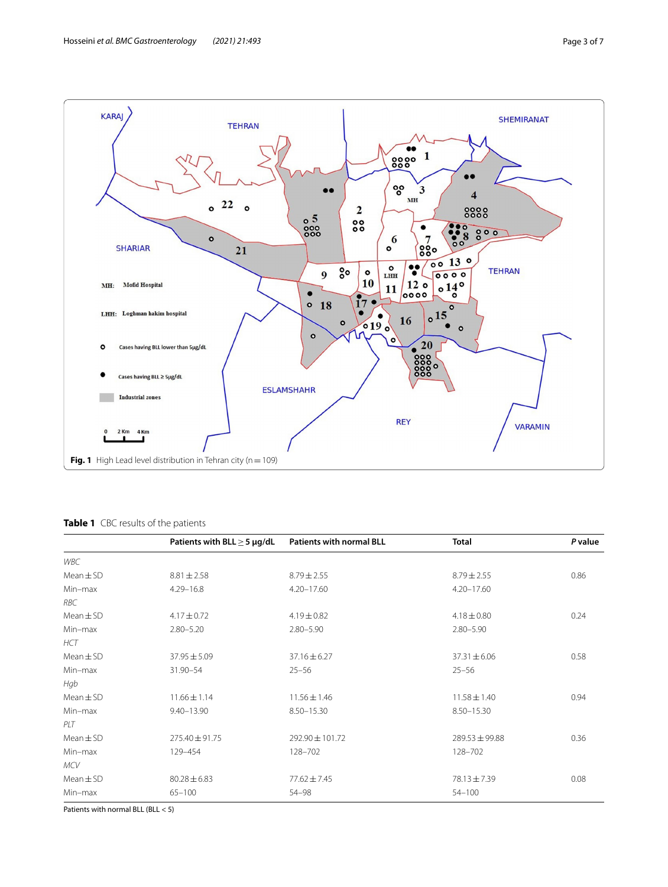

## <span id="page-2-1"></span><span id="page-2-0"></span>**Table 1** CBC results of the patients

|               | Patients with BLL $\geq$ 5 µg/dL | <b>Patients with normal BLL</b> | <b>Total</b>     | P value |
|---------------|----------------------------------|---------------------------------|------------------|---------|
| WBC           |                                  |                                 |                  |         |
| $Mean \pm SD$ | $8.81 \pm 2.58$                  | $8.79 \pm 2.55$                 | $8.79 \pm 2.55$  | 0.86    |
| Min-max       | $4.29 - 16.8$                    | $4.20 - 17.60$                  | $4.20 - 17.60$   |         |
| RBC           |                                  |                                 |                  |         |
| $Mean \pm SD$ | $4.17 \pm 0.72$                  | $4.19 \pm 0.82$                 | $4.18 \pm 0.80$  | 0.24    |
| Min-max       | $2.80 - 5.20$                    | $2.80 - 5.90$                   | $2.80 - 5.90$    |         |
| <b>HCT</b>    |                                  |                                 |                  |         |
| $Mean \pm SD$ | $37.95 \pm 5.09$                 | $37.16 \pm 6.27$                | $37.31 \pm 6.06$ | 0.58    |
| Min-max       | 31.90-54                         | $25 - 56$                       | $25 - 56$        |         |
| Hgb           |                                  |                                 |                  |         |
| $Mean \pm SD$ | $11.66 \pm 1.14$                 | $11.56 \pm 1.46$                | $11.58 \pm 1.40$ | 0.94    |
| Min-max       | $9.40 - 13.90$                   | 8.50-15.30                      | 8.50-15.30       |         |
| PLT           |                                  |                                 |                  |         |
| $Mean \pm SD$ | 275.40±91.75                     | 292.90 ± 101.72                 | 289.53 ± 99.88   | 0.36    |
| Min-max       | 129-454                          | 128-702                         | 128-702          |         |
| <b>MCV</b>    |                                  |                                 |                  |         |
| $Mean \pm SD$ | $80.28 \pm 6.83$                 | $77.62 \pm 7.45$                | 78.13 ± 7.39     | 0.08    |
| Min-max       | $65 - 100$                       | 54-98                           | $54 - 100$       |         |

Patients with normal BLL (BLL < 5)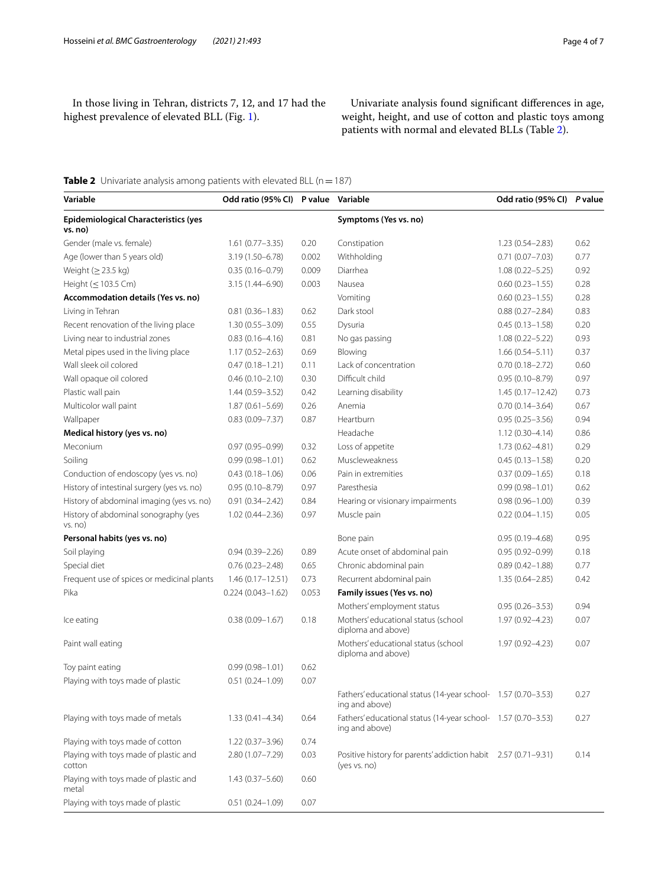In those living in Tehran, districts 7, 12, and 17 had the highest prevalence of elevated BLL (Fig. [1\)](#page-2-0).

Univariate analysis found signifcant diferences in age, weight, height, and use of cotton and plastic toys among patients with normal and elevated BLLs (Table [2\)](#page-3-0).

# <span id="page-3-0"></span>**Table 2** Univariate analysis among patients with elevated BLL (n = 187)

| Variable                                               | Odd ratio (95% CI) P value Variable |       |                                                                                 | Odd ratio (95% CI) P value |      |
|--------------------------------------------------------|-------------------------------------|-------|---------------------------------------------------------------------------------|----------------------------|------|
| <b>Epidemiological Characteristics (yes</b><br>vs. no) |                                     |       | Symptoms (Yes vs. no)                                                           |                            |      |
| Gender (male vs. female)                               | $1.61(0.77 - 3.35)$                 | 0.20  | Constipation                                                                    | $1.23(0.54 - 2.83)$        | 0.62 |
| Age (lower than 5 years old)                           | 3.19 (1.50-6.78)                    | 0.002 | Withholding                                                                     | $0.71(0.07 - 7.03)$        | 0.77 |
| Weight $(≥ 23.5 kg)$                                   | $0.35(0.16 - 0.79)$                 | 0.009 | Diarrhea                                                                        | $1.08(0.22 - 5.25)$        | 0.92 |
| Height $(\leq 103.5$ Cm)                               | 3.15 (1.44-6.90)                    | 0.003 | Nausea                                                                          | $0.60(0.23 - 1.55)$        | 0.28 |
| Accommodation details (Yes vs. no)                     |                                     |       | Vomiting                                                                        | $0.60(0.23 - 1.55)$        | 0.28 |
| Living in Tehran                                       | $0.81(0.36 - 1.83)$                 | 0.62  | Dark stool                                                                      | $0.88(0.27 - 2.84)$        | 0.83 |
| Recent renovation of the living place                  | $1.30(0.55 - 3.09)$                 | 0.55  | Dysuria                                                                         | $0.45(0.13 - 1.58)$        | 0.20 |
| Living near to industrial zones                        | $0.83(0.16 - 4.16)$                 | 0.81  | No gas passing                                                                  | $1.08(0.22 - 5.22)$        | 0.93 |
| Metal pipes used in the living place                   | $1.17(0.52 - 2.63)$                 | 0.69  | Blowing                                                                         | $1.66(0.54 - 5.11)$        | 0.37 |
| Wall sleek oil colored                                 | $0.47(0.18 - 1.21)$                 | 0.11  | Lack of concentration                                                           | $0.70(0.18 - 2.72)$        | 0.60 |
| Wall opaque oil colored                                | $0.46(0.10 - 2.10)$                 | 0.30  | Difficult child                                                                 | $0.95(0.10 - 8.79)$        | 0.97 |
| Plastic wall pain                                      | $1.44(0.59 - 3.52)$                 | 0.42  | Learning disability                                                             | $1.45(0.17 - 12.42)$       | 0.73 |
| Multicolor wall paint                                  | $1.87(0.61 - 5.69)$                 | 0.26  | Anemia                                                                          | $0.70(0.14 - 3.64)$        | 0.67 |
| Wallpaper                                              | $0.83(0.09 - 7.37)$                 | 0.87  | Heartburn                                                                       | $0.95(0.25 - 3.56)$        | 0.94 |
| Medical history (yes vs. no)                           |                                     |       | Headache                                                                        | $1.12(0.30 - 4.14)$        | 0.86 |
| Meconium                                               | $0.97(0.95 - 0.99)$                 | 0.32  | Loss of appetite                                                                | $1.73(0.62 - 4.81)$        | 0.29 |
| Soiling                                                | $0.99(0.98 - 1.01)$                 | 0.62  | Muscleweakness                                                                  | $0.45(0.13 - 1.58)$        | 0.20 |
| Conduction of endoscopy (yes vs. no)                   | $0.43(0.18 - 1.06)$                 | 0.06  | Pain in extremities                                                             | $0.37(0.09 - 1.65)$        | 0.18 |
| History of intestinal surgery (yes vs. no)             | $0.95(0.10 - 8.79)$                 | 0.97  | Paresthesia                                                                     | $0.99(0.98 - 1.01)$        | 0.62 |
| History of abdominal imaging (yes vs. no)              | $0.91(0.34 - 2.42)$                 | 0.84  | Hearing or visionary impairments                                                | $0.98(0.96 - 1.00)$        | 0.39 |
| History of abdominal sonography (yes<br>vs. no)        | $1.02(0.44 - 2.36)$                 | 0.97  | Muscle pain                                                                     | $0.22(0.04 - 1.15)$        | 0.05 |
| Personal habits (yes vs. no)                           |                                     |       | Bone pain                                                                       | $0.95(0.19 - 4.68)$        | 0.95 |
| Soil playing                                           | $0.94(0.39 - 2.26)$                 | 0.89  | Acute onset of abdominal pain                                                   | $0.95(0.92 - 0.99)$        | 0.18 |
| Special diet                                           | $0.76(0.23 - 2.48)$                 | 0.65  | Chronic abdominal pain                                                          | $0.89(0.42 - 1.88)$        | 0.77 |
| Frequent use of spices or medicinal plants             | $1.46(0.17 - 12.51)$                | 0.73  | Recurrent abdominal pain                                                        | $1.35(0.64 - 2.85)$        | 0.42 |
| Pika                                                   | $0.224(0.043 - 1.62)$               | 0.053 | Family issues (Yes vs. no)                                                      |                            |      |
|                                                        |                                     |       | Mothers' employment status                                                      | $0.95(0.26 - 3.53)$        | 0.94 |
| Ice eating                                             | $0.38(0.09 - 1.67)$                 | 0.18  | Mothers' educational status (school<br>diploma and above)                       | 1.97 (0.92-4.23)           | 0.07 |
| Paint wall eating                                      |                                     |       | Mothers' educational status (school<br>diploma and above)                       | 1.97 (0.92-4.23)           | 0.07 |
| Toy paint eating                                       | $0.99(0.98 - 1.01)$                 | 0.62  |                                                                                 |                            |      |
| Playing with toys made of plastic                      | $0.51(0.24 - 1.09)$                 | 0.07  |                                                                                 |                            |      |
|                                                        |                                     |       | Fathers' educational status (14-year school- 1.57 (0.70-3.53)<br>ing and above) |                            | 0.27 |
| Playing with toys made of metals                       | $1.33(0.41 - 4.34)$                 | 0.64  | Fathers' educational status (14-year school- 1.57 (0.70-3.53)<br>ing and above) |                            | 0.27 |
| Playing with toys made of cotton                       | $1.22(0.37 - 3.96)$                 | 0.74  |                                                                                 |                            |      |
| Playing with toys made of plastic and<br>cotton        | $2.80(1.07 - 7.29)$                 | 0.03  | Positive history for parents' addiction habit 2.57 (0.71-9.31)<br>(yes vs. no)  |                            | 0.14 |
| Playing with toys made of plastic and<br>metal         | $1.43(0.37 - 5.60)$                 | 0.60  |                                                                                 |                            |      |
| Playing with toys made of plastic                      | $0.51(0.24 - 1.09)$                 | 0.07  |                                                                                 |                            |      |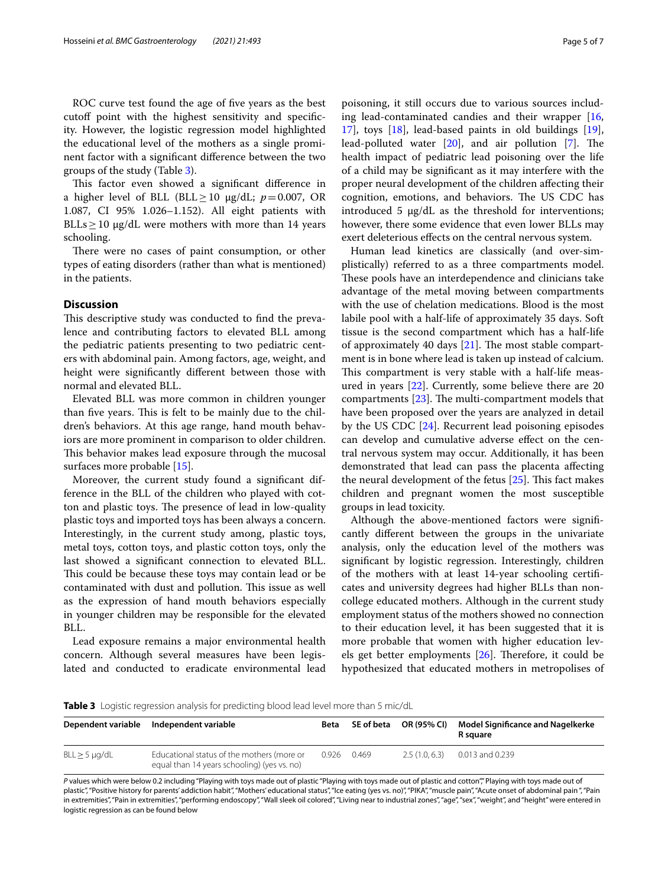ROC curve test found the age of fve years as the best cutoff point with the highest sensitivity and specificity. However, the logistic regression model highlighted the educational level of the mothers as a single prominent factor with a signifcant diference between the two groups of the study (Table [3](#page-4-0)).

This factor even showed a significant difference in a higher level of BLL (BLL>10  $\mu$ g/dL;  $p=0.007$ , OR 1.087, CI 95% 1.026–1.152). All eight patients with BLLs  $\geq$  10 µg/dL were mothers with more than 14 years schooling.

There were no cases of paint consumption, or other types of eating disorders (rather than what is mentioned) in the patients.

## **Discussion**

This descriptive study was conducted to find the prevalence and contributing factors to elevated BLL among the pediatric patients presenting to two pediatric centers with abdominal pain. Among factors, age, weight, and height were signifcantly diferent between those with normal and elevated BLL.

Elevated BLL was more common in children younger than five years. This is felt to be mainly due to the children's behaviors. At this age range, hand mouth behaviors are more prominent in comparison to older children. This behavior makes lead exposure through the mucosal surfaces more probable [\[15](#page-6-13)].

Moreover, the current study found a signifcant difference in the BLL of the children who played with cotton and plastic toys. The presence of lead in low-quality plastic toys and imported toys has been always a concern. Interestingly, in the current study among, plastic toys, metal toys, cotton toys, and plastic cotton toys, only the last showed a signifcant connection to elevated BLL. This could be because these toys may contain lead or be contaminated with dust and pollution. This issue as well as the expression of hand mouth behaviors especially in younger children may be responsible for the elevated BLL.

Lead exposure remains a major environmental health concern. Although several measures have been legislated and conducted to eradicate environmental lead poisoning, it still occurs due to various sources including lead-contaminated candies and their wrapper [[16](#page-6-14), [17\]](#page-6-15), toys [\[18](#page-6-16)], lead-based paints in old buildings [\[19](#page-6-17)], lead-polluted water  $[20]$  $[20]$ , and air pollution  $[7]$  $[7]$ . The health impact of pediatric lead poisoning over the life of a child may be signifcant as it may interfere with the proper neural development of the children afecting their cognition, emotions, and behaviors. The US CDC has introduced 5  $\mu$ g/dL as the threshold for interventions; however, there some evidence that even lower BLLs may exert deleterious efects on the central nervous system.

Human lead kinetics are classically (and over-simplistically) referred to as a three compartments model. These pools have an interdependence and clinicians take advantage of the metal moving between compartments with the use of chelation medications. Blood is the most labile pool with a half-life of approximately 35 days. Soft tissue is the second compartment which has a half-life of approximately 40 days  $[21]$ . The most stable compartment is in bone where lead is taken up instead of calcium. This compartment is very stable with a half-life measured in years [[22\]](#page-6-20). Currently, some believe there are 20 compartments  $[23]$  $[23]$ . The multi-compartment models that have been proposed over the years are analyzed in detail by the US CDC [[24\]](#page-6-22). Recurrent lead poisoning episodes can develop and cumulative adverse efect on the central nervous system may occur. Additionally, it has been demonstrated that lead can pass the placenta afecting the neural development of the fetus  $[25]$  $[25]$ . This fact makes children and pregnant women the most susceptible groups in lead toxicity.

Although the above-mentioned factors were signifcantly diferent between the groups in the univariate analysis, only the education level of the mothers was signifcant by logistic regression. Interestingly, children of the mothers with at least 14-year schooling certifcates and university degrees had higher BLLs than noncollege educated mothers. Although in the current study employment status of the mothers showed no connection to their education level, it has been suggested that it is more probable that women with higher education lev-els get better employments [[26\]](#page-6-24). Therefore, it could be hypothesized that educated mothers in metropolises of

<span id="page-4-0"></span>

|  |  | <b>Table 3</b> Logistic regression analysis for predicting blood lead level more than 5 mic/dL |  |  |  |  |  |  |  |
|--|--|------------------------------------------------------------------------------------------------|--|--|--|--|--|--|--|
|--|--|------------------------------------------------------------------------------------------------|--|--|--|--|--|--|--|

| Dependent variable    | Independent variable                                                                      | Beta  | SE of beta | OR (95% CI)  | Model Significance and Nagelkerke<br>R sauare |
|-----------------------|-------------------------------------------------------------------------------------------|-------|------------|--------------|-----------------------------------------------|
| $BLL \geq 5 \mu q/dL$ | Educational status of the mothers (more or<br>equal than 14 years schooling) (yes vs. no) | 0.926 | 0.469      | 2.5(1.0.6.3) | 0.013 and 0.239                               |

*P* values which were below 0.2 including "Playing with toys made out of plastic "Playing with toys made out of plastic and cotton"," Playing with toys made out of plastic", "Positive history for parents' addiction habit", "Mothers' educational status", "Ice eating (yes vs. no)", "PIKA", "muscle pain", "Acute onset of abdominal pain ", "Pain in extremities", "Pain in extremities", "performing endoscopy", "Wall sleek oil colored", "Living near to industrial zones", "age", "sex", "weight", and "height" were entered in logistic regression as can be found below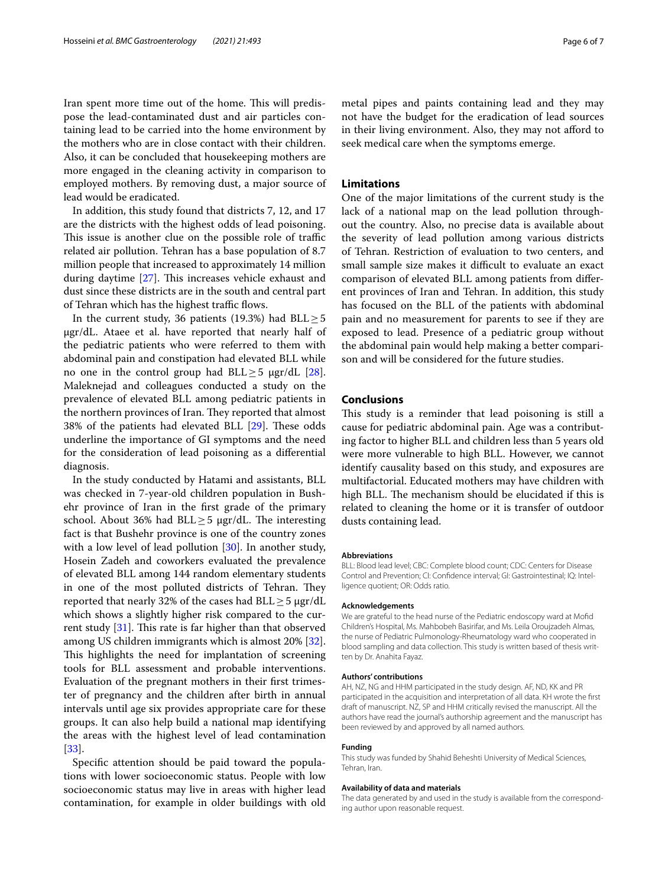Iran spent more time out of the home. This will predispose the lead-contaminated dust and air particles containing lead to be carried into the home environment by the mothers who are in close contact with their children. Also, it can be concluded that housekeeping mothers are more engaged in the cleaning activity in comparison to employed mothers. By removing dust, a major source of lead would be eradicated.

In addition, this study found that districts 7, 12, and 17 are the districts with the highest odds of lead poisoning. This issue is another clue on the possible role of traffic related air pollution. Tehran has a base population of 8.7 million people that increased to approximately 14 million during daytime  $[27]$  $[27]$ . This increases vehicle exhaust and dust since these districts are in the south and central part of Tehran which has the highest traffic flows.

In the current study, 36 patients (19.3%) had  $BLL \geq 5$ µgr/dL. Ataee et al. have reported that nearly half of the pediatric patients who were referred to them with abdominal pain and constipation had elevated BLL while no one in the control group had BLL $\geq$ 5 µgr/dL [\[28](#page-6-26)]. Maleknejad and colleagues conducted a study on the prevalence of elevated BLL among pediatric patients in the northern provinces of Iran. They reported that almost 38% of the patients had elevated BLL  $[29]$  $[29]$ . These odds underline the importance of GI symptoms and the need for the consideration of lead poisoning as a diferential diagnosis.

In the study conducted by Hatami and assistants, BLL was checked in 7-year-old children population in Bushehr province of Iran in the frst grade of the primary school. About 36% had BLL $\geq$ 5 µgr/dL. The interesting fact is that Bushehr province is one of the country zones with a low level of lead pollution [\[30\]](#page-6-28). In another study, Hosein Zadeh and coworkers evaluated the prevalence of elevated BLL among 144 random elementary students in one of the most polluted districts of Tehran. They reported that nearly 32% of the cases had  $BLL \ge 5 \mu g r/dL$ which shows a slightly higher risk compared to the current study  $[31]$  $[31]$ . This rate is far higher than that observed among US children immigrants which is almost 20% [\[32](#page-6-30)]. This highlights the need for implantation of screening tools for BLL assessment and probable interventions. Evaluation of the pregnant mothers in their frst trimester of pregnancy and the children after birth in annual intervals until age six provides appropriate care for these groups. It can also help build a national map identifying the areas with the highest level of lead contamination [[33\]](#page-6-31).

Specifc attention should be paid toward the populations with lower socioeconomic status. People with low socioeconomic status may live in areas with higher lead contamination, for example in older buildings with old metal pipes and paints containing lead and they may not have the budget for the eradication of lead sources in their living environment. Also, they may not aford to seek medical care when the symptoms emerge.

## **Limitations**

One of the major limitations of the current study is the lack of a national map on the lead pollution throughout the country. Also, no precise data is available about the severity of lead pollution among various districts of Tehran. Restriction of evaluation to two centers, and small sample size makes it difficult to evaluate an exact comparison of elevated BLL among patients from diferent provinces of Iran and Tehran. In addition, this study has focused on the BLL of the patients with abdominal pain and no measurement for parents to see if they are exposed to lead. Presence of a pediatric group without the abdominal pain would help making a better comparison and will be considered for the future studies.

### **Conclusions**

This study is a reminder that lead poisoning is still a cause for pediatric abdominal pain. Age was a contributing factor to higher BLL and children less than 5 years old were more vulnerable to high BLL. However, we cannot identify causality based on this study, and exposures are multifactorial. Educated mothers may have children with high BLL. The mechanism should be elucidated if this is related to cleaning the home or it is transfer of outdoor dusts containing lead.

#### **Abbreviations**

BLL: Blood lead level; CBC: Complete blood count; CDC: Centers for Disease Control and Prevention; CI: Confidence interval; GI: Gastrointestinal; IQ: Intelligence quotient; OR: Odds ratio.

#### **Acknowledgements**

We are grateful to the head nurse of the Pediatric endoscopy ward at Mofd Children's Hospital, Ms. Mahbobeh Basirifar, and Ms. Leila Oroujzadeh Almas, the nurse of Pediatric Pulmonology-Rheumatology ward who cooperated in blood sampling and data collection. This study is written based of thesis written by Dr. Anahita Fayaz.

#### **Authors' contributions**

AH, NZ, NG and HHM participated in the study design. AF, ND, KK and PR participated in the acquisition and interpretation of all data. KH wrote the frst draft of manuscript. NZ, SP and HHM critically revised the manuscript. All the authors have read the journal's authorship agreement and the manuscript has been reviewed by and approved by all named authors.

#### **Funding**

This study was funded by Shahid Beheshti University of Medical Sciences, Tehran, Iran.

#### **Availability of data and materials**

The data generated by and used in the study is available from the corresponding author upon reasonable request.